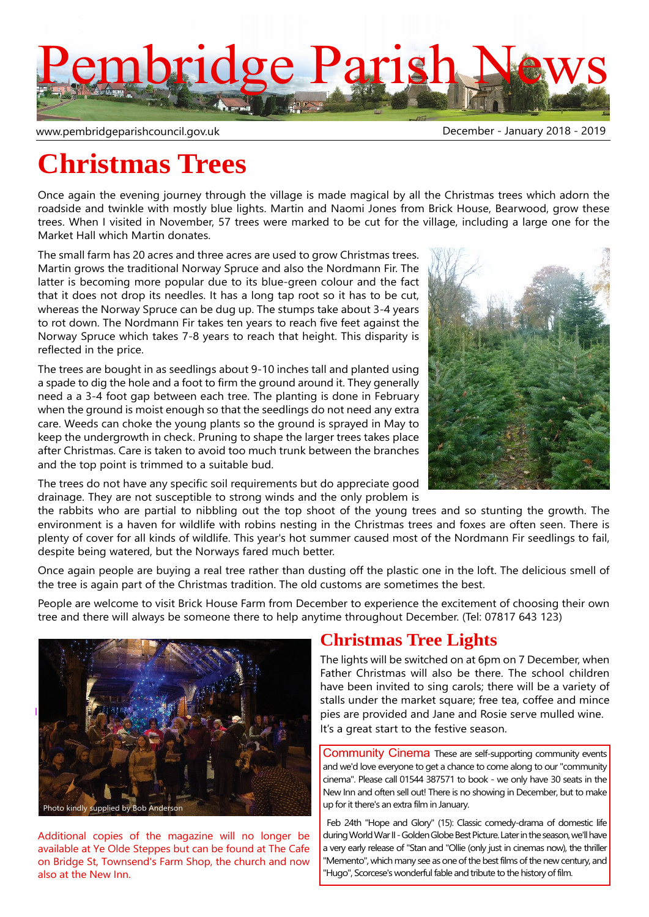

www.pembridgeparishcouncil.gov.uk by a state of the December - January 2018 - 2019

# **Christmas Trees**

Once again the evening journey through the village is made magical by all the Christmas trees which adorn the roadside and twinkle with mostly blue lights. Martin and Naomi Jones from Brick House, Bearwood, grow these trees. When I visited in November, 57 trees were marked to be cut for the village, including a large one for the Market Hall which Martin donates.

The small farm has 20 acres and three acres are used to grow Christmas trees. Martin grows the traditional Norway Spruce and also the Nordmann Fir. The latter is becoming more popular due to its blue-green colour and the fact that it does not drop its needles. It has a long tap root so it has to be cut, whereas the Norway Spruce can be dug up. The stumps take about 3-4 years to rot down. The Nordmann Fir takes ten years to reach five feet against the Norway Spruce which takes 7-8 years to reach that height. This disparity is reflected in the price.

The trees are bought in as seedlings about 9-10 inches tall and planted using a spade to dig the hole and a foot to firm the ground around it. They generally need a a 3-4 foot gap between each tree. The planting is done in February when the ground is moist enough so that the seedlings do not need any extra care. Weeds can choke the young plants so the ground is sprayed in May to keep the undergrowth in check. Pruning to shape the larger trees takes place after Christmas. Care is taken to avoid too much trunk between the branches and the top point is trimmed to a suitable bud.

The trees do not have any specific soil requirements but do appreciate good drainage. They are not susceptible to strong winds and the only problem is



the rabbits who are partial to nibbling out the top shoot of the young trees and so stunting the growth. The environment is a haven for wildlife with robins nesting in the Christmas trees and foxes are often seen. There is plenty of cover for all kinds of wildlife. This year's hot summer caused most of the Nordmann Fir seedlings to fail, despite being watered, but the Norways fared much better.

Once again people are buying a real tree rather than dusting off the plastic one in the loft. The delicious smell of the tree is again part of the Christmas tradition. The old customs are sometimes the best.

People are welcome to visit Brick House Farm from December to experience the excitement of choosing their own tree and there will always be someone there to help anytime throughout December. (Tel: 07817 643 123)



Additional copies of the magazine will no longer be available at Ye Olde Steppes but can be found at The Cafe on Bridge St, Townsend's Farm Shop, the church and now also at the New Inn.

### **Christmas Tree Lights**

The lights will be switched on at 6pm on 7 December, when Father Christmas will also be there. The school children have been invited to sing carols; there will be a variety of stalls under the market square; free tea, coffee and mince pies are provided and Jane and Rosie serve mulled wine. It's a great start to the festive season.

Community Cinema These are self-supporting community events and we'd love everyone to get a chance to come along to our "community cinema". Please call 01544 387571 to book - we only have 30 seats in the New Inn and often sell out! There is no showing in December, but to make up for it there's an extra film in January.

 Feb 24th "Hope and Glory" (15): Classic comedy-drama of domestic life during World War II - Golden Globe Best Picture. Later in the season, we'll have a very early release of "Stan and "Ollie (only just in cinemas now), the thriller "Memento", which many see as one of the best films of the new century, and "Hugo", Scorcese's wonderful fable and tribute to the history of film.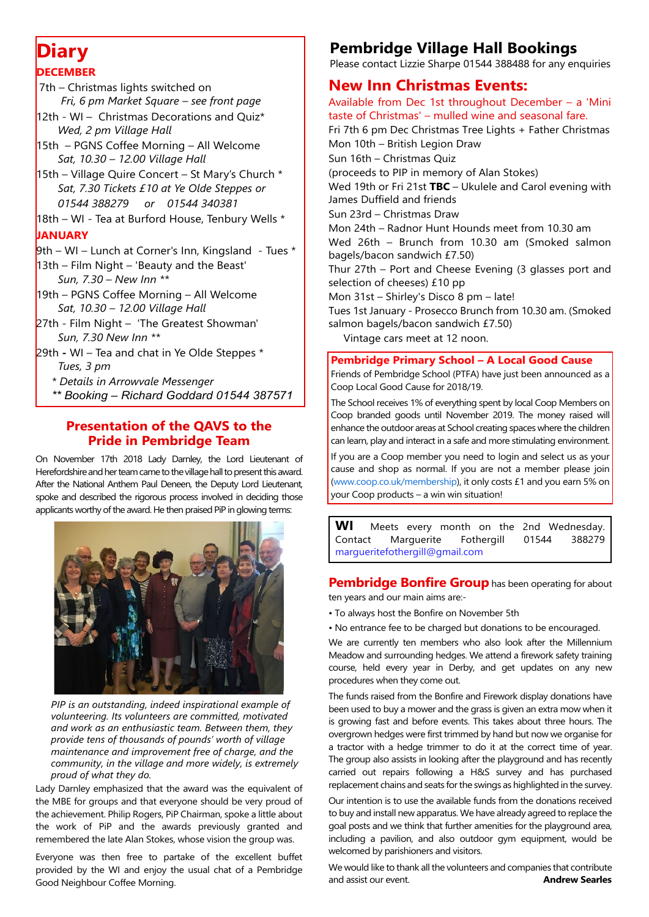### **Diary DECEMBER**

- 7th Christmas lights switched on  *Fri, 6 pm Market Square – see front page*
- 12th WI Christmas Decorations and Quiz\*  *Wed, 2 pm Village Hall*
- 15th PGNS Coffee Morning All Welcome  *Sat, 10.30 – 12.00 Village Hall*
- 15th Village Quire Concert St Mary's Church \*  *Sat, 7.30 Tickets £10 at Ye Olde Steppes or 01544 388279 or 01544 340381*
- 18th WI Tea at Burford House, Tenbury Wells \*

#### **JANUARY**

- $9$ th WI Lunch at Corner's Inn, Kingsland Tues  $*$
- $13$ th Film Night 'Beauty and the Beast'  *Sun, 7.30 – New Inn \*\**
- 19th PGNS Coffee Morning All Welcome  *Sat, 10.30 – 12.00 Village Hall*
- 27th Film Night 'The Greatest Showman'  *Sun, 7.30 New Inn \*\**
- 29th **-** WI Tea and chat in Ye Olde Steppes \*  *Tues, 3 pm*
	- *\* Details in Arrowvale Messenger*
	- *\*\* Booking Richard Goddard 01544 387571*

### **Presentation of the QAVS to the Pride in Pembridge Team**

On November 17th 2018 Lady Darnley, the Lord Lieutenant of Herefordshire and her team came to the village hall to present this award. After the National Anthem Paul Deneen, the Deputy Lord Lieutenant, spoke and described the rigorous process involved in deciding those applicants worthy of the award. He then praised PiP in glowing terms:



*PIP is an outstanding, indeed inspirational example of volunteering. Its volunteers are committed, motivated and work as an enthusiastic team. Between them, they provide tens of thousands of pounds' worth of village maintenance and improvement free of charge, and the community, in the village and more widely, is extremely proud of what they do.*

Lady Darnley emphasized that the award was the equivalent of the MBE for groups and that everyone should be very proud of the achievement. Philip Rogers, PiP Chairman, spoke a little about the work of PiP and the awards previously granted and remembered the late Alan Stokes, whose vision the group was.

Everyone was then free to partake of the excellent buffet provided by the WI and enjoy the usual chat of a Pembridge Good Neighbour Coffee Morning.

### **Pembridge Village Hall Bookings**

Please contact Lizzie Sharpe 01544 388488 for any enquiries

### **New Inn Christmas Events:**

Available from Dec 1st throughout December – a 'Mini taste of Christmas' – mulled wine and seasonal fare.

Fri 7th 6 pm Dec Christmas Tree Lights + Father Christmas Mon 10th – British Legion Draw Sun 16th – Christmas Quiz (proceeds to PIP in memory of Alan Stokes) Wed 19th or Fri 21st **TBC** – Ukulele and Carol evening with James Duffield and friends Sun 23rd – Christmas Draw Mon 24th – Radnor Hunt Hounds meet from 10.30 am Wed 26th – Brunch from 10.30 am (Smoked salmon bagels/bacon sandwich £7.50) Thur 27th – Port and Cheese Evening (3 glasses port and selection of cheeses) £10 pp Mon 31st – Shirley's Disco 8 pm – late! Tues 1st January - Prosecco Brunch from 10.30 am. (Smoked salmon bagels/bacon sandwich £7.50) Vintage cars meet at 12 noon. **Pembridge Primary School – A Local Good Cause**

Friends of Pembridge School (PTFA) have just been announced as a Coop Local Good Cause for 2018/19.

The School receives 1% of everything spent by local Coop Members on Coop branded goods until November 2019. The money raised will enhance the outdoor areas at School creating spaces where the children can learn, play and interact in a safe and more stimulating environment.

If you are a Coop member you need to login and select us as your cause and shop as normal. If you are not a member please join (www.coop.co.uk/membership), it only costs £1 and you earn 5% on your Coop products – a win win situation!

**WI** Meets every month on the 2nd Wednesday. Contact Marguerite Fothergill 01544 388279 margueritefothergill@gmail.com

#### **Pembridge Bonfire Group** has been operating for about ten years and our main aims are:-

- To always host the Bonfire on November 5th
- No entrance fee to be charged but donations to be encouraged.

We are currently ten members who also look after the Millennium Meadow and surrounding hedges. We attend a firework safety training course, held every year in Derby, and get updates on any new procedures when they come out.

The funds raised from the Bonfire and Firework display donations have been used to buy a mower and the grass is given an extra mow when it is growing fast and before events. This takes about three hours. The overgrown hedges were first trimmed by hand but now we organise for a tractor with a hedge trimmer to do it at the correct time of year. The group also assists in looking after the playground and has recently carried out repairs following a H&S survey and has purchased replacement chains and seats for the swings as highlighted in the survey.

Our intention is to use the available funds from the donations received to buy and install new apparatus. We have already agreed to replace the goal posts and we think that further amenities for the playground area, including a pavilion, and also outdoor gym equipment, would be welcomed by parishioners and visitors.

We would like to thank all the volunteers and companies that contribute and assist our event. **Andrew Searles**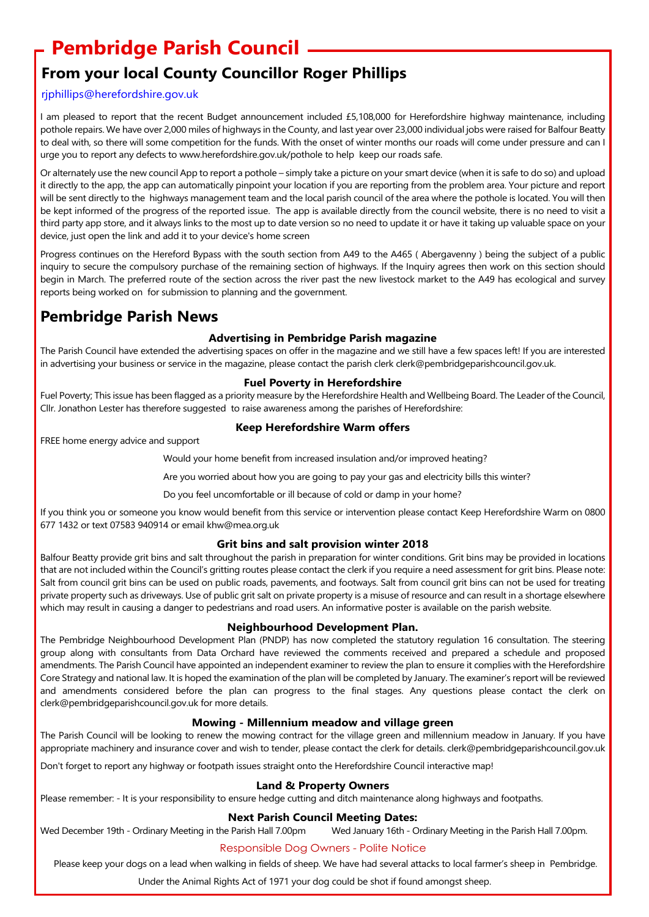## **Pembridge Parish Council**

### **From your local County Councillor Roger Phillips**

#### rjphillips@herefordshire.gov.uk

I am pleased to report that the recent Budget announcement included £5,108,000 for Herefordshire highway maintenance, including pothole repairs. We have over 2,000 miles of highways in the County, and last year over 23,000 individual jobs were raised for Balfour Beatty to deal with, so there will some competition for the funds. With the onset of winter months our roads will come under pressure and can I urge you to report any defects to www.herefordshire.gov.uk/pothole to help keep our roads safe.

Or alternately use the new council App to report a pothole – simply take a picture on your smart device (when it is safe to do so) and upload it directly to the app, the app can automatically pinpoint your location if you are reporting from the problem area. Your picture and report will be sent directly to the highways management team and the local parish council of the area where the pothole is located. You will then be kept informed of the progress of the reported issue. The app is available directly from the council website, there is no need to visit a third party app store, and it always links to the most up to date version so no need to update it or have it taking up valuable space on your device, just open the link and add it to your device's home screen

Progress continues on the Hereford Bypass with the south section from A49 to the A465 ( Abergavenny ) being the subject of a public inquiry to secure the compulsory purchase of the remaining section of highways. If the Inquiry agrees then work on this section should begin in March. The preferred route of the section across the river past the new livestock market to the A49 has ecological and survey reports being worked on for submission to planning and the government.

### **Pembridge Parish News**

#### **Advertising in Pembridge Parish magazine**

The Parish Council have extended the advertising spaces on offer in the magazine and we still have a few spaces left! If you are interested in advertising your business or service in the magazine, please contact the parish clerk clerk@pembridgeparishcouncil.gov.uk.

#### **Fuel Poverty in Herefordshire**

Fuel Poverty; This issue has been flagged as a priority measure by the Herefordshire Health and Wellbeing Board. The Leader of the Council, Cllr. Jonathon Lester has therefore suggested to raise awareness among the parishes of Herefordshire:

#### **Keep Herefordshire Warm offers**

FREE home energy advice and support

Would your home benefit from increased insulation and/or improved heating?

Are you worried about how you are going to pay your gas and electricity bills this winter?

Do you feel uncomfortable or ill because of cold or damp in your home?

If you think you or someone you know would benefit from this service or intervention please contact Keep Herefordshire Warm on 0800 677 1432 or text 07583 940914 or email khw@mea.org.uk

#### **Grit bins and salt provision winter 2018**

Balfour Beatty provide grit bins and salt throughout the parish in preparation for winter conditions. Grit bins may be provided in locations that are not included within the Council's gritting routes please contact the clerk if you require a need assessment for grit bins. Please note: Salt from council grit bins can be used on public roads, pavements, and footways. Salt from council grit bins can not be used for treating private property such as driveways. Use of public grit salt on private property is a misuse of resource and can result in a shortage elsewhere which may result in causing a danger to pedestrians and road users. An informative poster is available on the parish website.

#### **Neighbourhood Development Plan.**

The Pembridge Neighbourhood Development Plan (PNDP) has now completed the statutory regulation 16 consultation. The steering group along with consultants from Data Orchard have reviewed the comments received and prepared a schedule and proposed amendments. The Parish Council have appointed an independent examiner to review the plan to ensure it complies with the Herefordshire Core Strategy and national law. It is hoped the examination of the plan will be completed by January. The examiner's report will be reviewed and amendments considered before the plan can progress to the final stages. Any questions please contact the clerk on clerk@pembridgeparishcouncil.gov.uk for more details.

#### **Mowing - Millennium meadow and village green**

The Parish Council will be looking to renew the mowing contract for the village green and millennium meadow in January. If you have appropriate machinery and insurance cover and wish to tender, please contact the clerk for details. clerk@pembridgeparishcouncil.gov.uk

Don't forget to report any highway or footpath issues straight onto the Herefordshire Council interactive map!

#### **Land & Property Owners**

Please remember: - It is your responsibility to ensure hedge cutting and ditch maintenance along highways and footpaths.

#### **Next Parish Council Meeting Dates:**

Wed December 19th - Ordinary Meeting in the Parish Hall 7.00pm Wed January 16th - Ordinary Meeting in the Parish Hall 7.00pm.

#### Responsible Dog Owners - Polite Notice

Please keep your dogs on a lead when walking in fields of sheep. We have had several attacks to local farmer's sheep in Pembridge.

Under the Animal Rights Act of 1971 your dog could be shot if found amongst sheep.